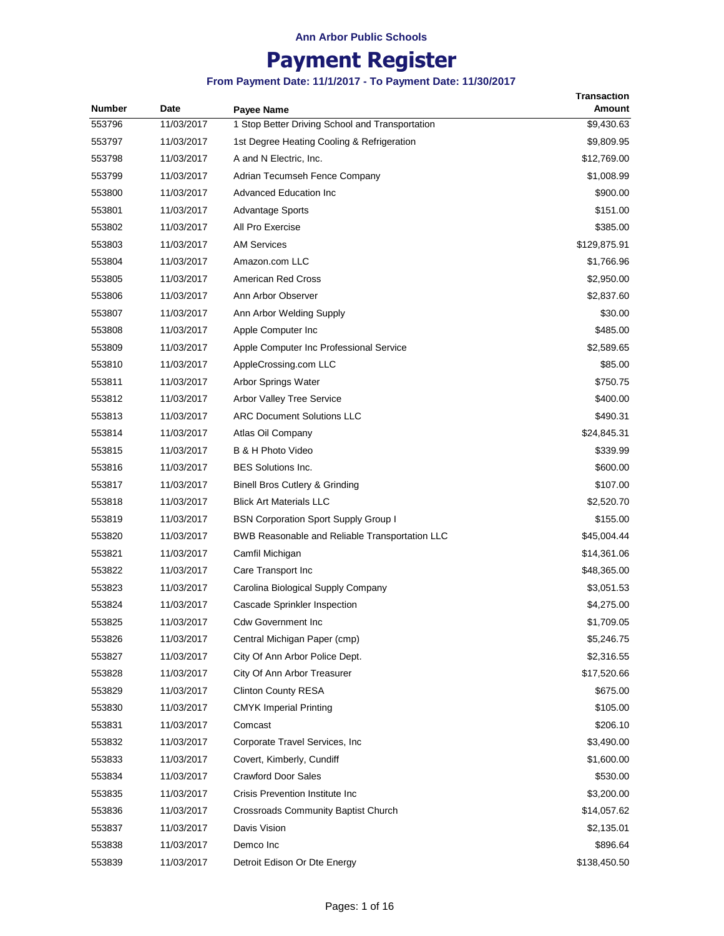# **Payment Register**

| <b>Number</b> | Date       | Payee Name                                      | <b>Transaction</b><br>Amount |
|---------------|------------|-------------------------------------------------|------------------------------|
| 553796        | 11/03/2017 | 1 Stop Better Driving School and Transportation | \$9,430.63                   |
| 553797        | 11/03/2017 | 1st Degree Heating Cooling & Refrigeration      | \$9,809.95                   |
| 553798        | 11/03/2017 | A and N Electric, Inc.                          | \$12,769.00                  |
| 553799        | 11/03/2017 | Adrian Tecumseh Fence Company                   | \$1,008.99                   |
| 553800        | 11/03/2017 | <b>Advanced Education Inc</b>                   | \$900.00                     |
| 553801        | 11/03/2017 | <b>Advantage Sports</b>                         | \$151.00                     |
| 553802        | 11/03/2017 | All Pro Exercise                                | \$385.00                     |
| 553803        | 11/03/2017 | <b>AM Services</b>                              | \$129,875.91                 |
| 553804        | 11/03/2017 | Amazon.com LLC                                  | \$1,766.96                   |
| 553805        | 11/03/2017 | <b>American Red Cross</b>                       | \$2,950.00                   |
| 553806        | 11/03/2017 | Ann Arbor Observer                              | \$2,837.60                   |
| 553807        | 11/03/2017 | Ann Arbor Welding Supply                        | \$30.00                      |
| 553808        | 11/03/2017 | Apple Computer Inc                              | \$485.00                     |
| 553809        | 11/03/2017 | Apple Computer Inc Professional Service         | \$2,589.65                   |
| 553810        | 11/03/2017 | AppleCrossing.com LLC                           | \$85.00                      |
| 553811        | 11/03/2017 | Arbor Springs Water                             | \$750.75                     |
| 553812        | 11/03/2017 | Arbor Valley Tree Service                       | \$400.00                     |
| 553813        | 11/03/2017 | <b>ARC Document Solutions LLC</b>               | \$490.31                     |
| 553814        | 11/03/2017 | Atlas Oil Company                               | \$24,845.31                  |
| 553815        | 11/03/2017 | B & H Photo Video                               | \$339.99                     |
| 553816        | 11/03/2017 | <b>BES Solutions Inc.</b>                       | \$600.00                     |
| 553817        | 11/03/2017 | Binell Bros Cutlery & Grinding                  | \$107.00                     |
| 553818        | 11/03/2017 | <b>Blick Art Materials LLC</b>                  | \$2,520.70                   |
| 553819        | 11/03/2017 | <b>BSN Corporation Sport Supply Group I</b>     | \$155.00                     |
| 553820        | 11/03/2017 | BWB Reasonable and Reliable Transportation LLC  | \$45,004.44                  |
| 553821        | 11/03/2017 | Camfil Michigan                                 | \$14,361.06                  |
| 553822        | 11/03/2017 | Care Transport Inc                              | \$48,365.00                  |
| 553823        | 11/03/2017 | Carolina Biological Supply Company              | \$3,051.53                   |
| 553824        | 11/03/2017 | Cascade Sprinkler Inspection                    | \$4,275.00                   |
| 553825        | 11/03/2017 | Cdw Government Inc                              | \$1,709.05                   |
| 553826        | 11/03/2017 | Central Michigan Paper (cmp)                    | \$5,246.75                   |
| 553827        | 11/03/2017 | City Of Ann Arbor Police Dept.                  | \$2,316.55                   |
| 553828        | 11/03/2017 | City Of Ann Arbor Treasurer                     | \$17,520.66                  |
| 553829        | 11/03/2017 | <b>Clinton County RESA</b>                      | \$675.00                     |
| 553830        | 11/03/2017 | <b>CMYK Imperial Printing</b>                   | \$105.00                     |
| 553831        | 11/03/2017 | Comcast                                         | \$206.10                     |
| 553832        | 11/03/2017 | Corporate Travel Services, Inc.                 | \$3,490.00                   |
| 553833        | 11/03/2017 | Covert, Kimberly, Cundiff                       | \$1,600.00                   |
| 553834        | 11/03/2017 | <b>Crawford Door Sales</b>                      | \$530.00                     |
| 553835        | 11/03/2017 | Crisis Prevention Institute Inc                 | \$3,200.00                   |
| 553836        | 11/03/2017 | Crossroads Community Baptist Church             | \$14,057.62                  |
| 553837        | 11/03/2017 | Davis Vision                                    | \$2,135.01                   |
| 553838        | 11/03/2017 | Demco Inc                                       | \$896.64                     |
| 553839        | 11/03/2017 | Detroit Edison Or Dte Energy                    | \$138,450.50                 |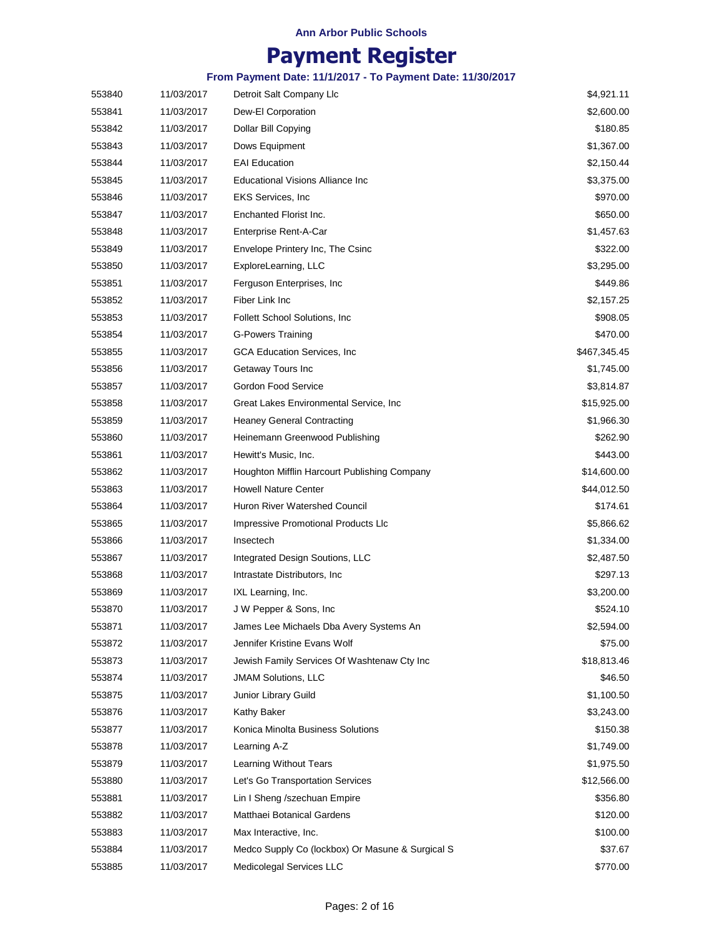## **Payment Register**

| 553840 | 11/03/2017 | Detroit Salt Company Llc                         | \$4,921.11   |
|--------|------------|--------------------------------------------------|--------------|
| 553841 | 11/03/2017 | Dew-El Corporation                               | \$2,600.00   |
| 553842 | 11/03/2017 | Dollar Bill Copying                              | \$180.85     |
| 553843 | 11/03/2017 | Dows Equipment                                   | \$1,367.00   |
| 553844 | 11/03/2017 | <b>EAI Education</b>                             | \$2,150.44   |
| 553845 | 11/03/2017 | <b>Educational Visions Alliance Inc</b>          | \$3,375.00   |
| 553846 | 11/03/2017 | <b>EKS Services, Inc.</b>                        | \$970.00     |
| 553847 | 11/03/2017 | Enchanted Florist Inc.                           | \$650.00     |
| 553848 | 11/03/2017 | Enterprise Rent-A-Car                            | \$1,457.63   |
| 553849 | 11/03/2017 | Envelope Printery Inc, The Csinc                 | \$322.00     |
| 553850 | 11/03/2017 | ExploreLearning, LLC                             | \$3,295.00   |
| 553851 | 11/03/2017 | Ferguson Enterprises, Inc.                       | \$449.86     |
| 553852 | 11/03/2017 | Fiber Link Inc                                   | \$2,157.25   |
| 553853 | 11/03/2017 | Follett School Solutions, Inc.                   | \$908.05     |
| 553854 | 11/03/2017 | <b>G-Powers Training</b>                         | \$470.00     |
| 553855 | 11/03/2017 | GCA Education Services, Inc.                     | \$467,345.45 |
| 553856 | 11/03/2017 | Getaway Tours Inc                                | \$1,745.00   |
| 553857 | 11/03/2017 | Gordon Food Service                              | \$3,814.87   |
| 553858 | 11/03/2017 | Great Lakes Environmental Service, Inc.          | \$15,925.00  |
| 553859 | 11/03/2017 | <b>Heaney General Contracting</b>                | \$1,966.30   |
| 553860 | 11/03/2017 | Heinemann Greenwood Publishing                   | \$262.90     |
| 553861 | 11/03/2017 | Hewitt's Music, Inc.                             | \$443.00     |
| 553862 | 11/03/2017 | Houghton Mifflin Harcourt Publishing Company     | \$14,600.00  |
| 553863 | 11/03/2017 | <b>Howell Nature Center</b>                      | \$44,012.50  |
| 553864 | 11/03/2017 | Huron River Watershed Council                    | \$174.61     |
| 553865 | 11/03/2017 | Impressive Promotional Products Llc              | \$5,866.62   |
| 553866 | 11/03/2017 | Insectech                                        | \$1,334.00   |
| 553867 | 11/03/2017 | Integrated Design Soutions, LLC                  | \$2,487.50   |
| 553868 | 11/03/2017 | Intrastate Distributors, Inc.                    | \$297.13     |
| 553869 | 11/03/2017 | IXL Learning, Inc.                               | \$3,200.00   |
| 553870 | 11/03/2017 | J W Pepper & Sons, Inc.                          | \$524.10     |
| 553871 | 11/03/2017 | James Lee Michaels Dba Avery Systems An          | \$2,594.00   |
| 553872 | 11/03/2017 | Jennifer Kristine Evans Wolf                     | \$75.00      |
| 553873 | 11/03/2017 | Jewish Family Services Of Washtenaw Cty Inc      | \$18,813.46  |
| 553874 | 11/03/2017 | <b>JMAM Solutions, LLC</b>                       | \$46.50      |
| 553875 | 11/03/2017 | Junior Library Guild                             | \$1,100.50   |
| 553876 | 11/03/2017 | Kathy Baker                                      | \$3,243.00   |
| 553877 | 11/03/2017 | Konica Minolta Business Solutions                | \$150.38     |
| 553878 | 11/03/2017 | Learning A-Z                                     | \$1,749.00   |
| 553879 | 11/03/2017 | Learning Without Tears                           | \$1,975.50   |
| 553880 | 11/03/2017 | Let's Go Transportation Services                 | \$12,566.00  |
| 553881 | 11/03/2017 | Lin I Sheng /szechuan Empire                     | \$356.80     |
| 553882 | 11/03/2017 | Matthaei Botanical Gardens                       | \$120.00     |
| 553883 | 11/03/2017 | Max Interactive, Inc.                            | \$100.00     |
| 553884 | 11/03/2017 | Medco Supply Co (lockbox) Or Masune & Surgical S | \$37.67      |
| 553885 | 11/03/2017 | Medicolegal Services LLC                         | \$770.00     |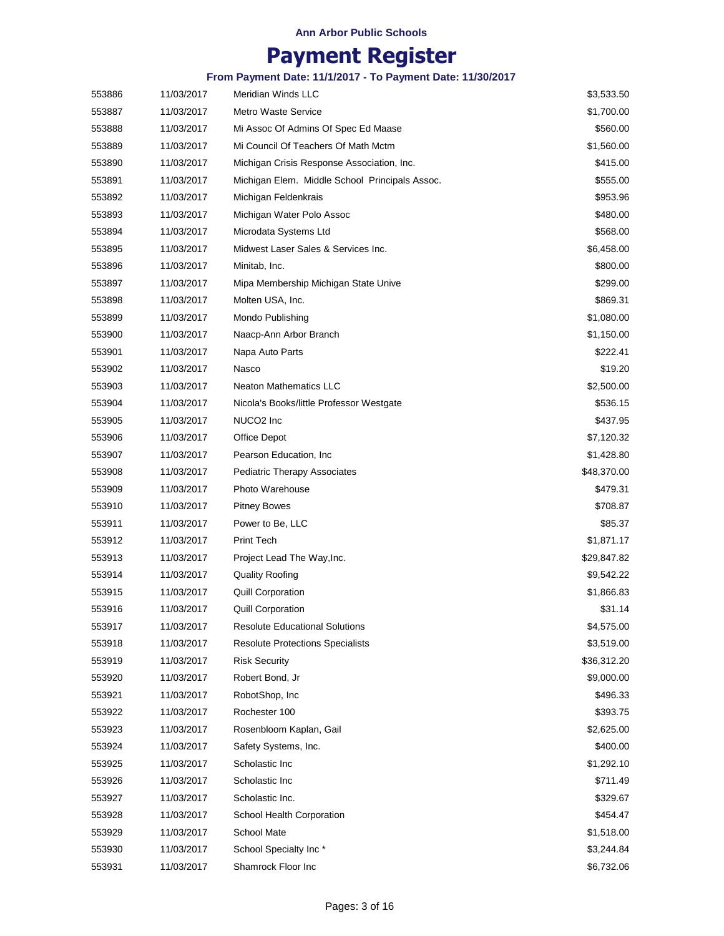## **Payment Register**

| 553886 | 11/03/2017 | <b>Meridian Winds LLC</b>                      | \$3,533.50  |
|--------|------------|------------------------------------------------|-------------|
| 553887 | 11/03/2017 | <b>Metro Waste Service</b>                     | \$1,700.00  |
| 553888 | 11/03/2017 | Mi Assoc Of Admins Of Spec Ed Maase            | \$560.00    |
| 553889 | 11/03/2017 | Mi Council Of Teachers Of Math Mctm            | \$1,560.00  |
| 553890 | 11/03/2017 | Michigan Crisis Response Association, Inc.     | \$415.00    |
| 553891 | 11/03/2017 | Michigan Elem. Middle School Principals Assoc. | \$555.00    |
| 553892 | 11/03/2017 | Michigan Feldenkrais                           | \$953.96    |
| 553893 | 11/03/2017 | Michigan Water Polo Assoc                      | \$480.00    |
| 553894 | 11/03/2017 | Microdata Systems Ltd                          | \$568.00    |
| 553895 | 11/03/2017 | Midwest Laser Sales & Services Inc.            | \$6,458.00  |
| 553896 | 11/03/2017 | Minitab, Inc.                                  | \$800.00    |
| 553897 | 11/03/2017 | Mipa Membership Michigan State Unive           | \$299.00    |
| 553898 | 11/03/2017 | Molten USA, Inc.                               | \$869.31    |
| 553899 | 11/03/2017 | Mondo Publishing                               | \$1,080.00  |
| 553900 | 11/03/2017 | Naacp-Ann Arbor Branch                         | \$1,150.00  |
| 553901 | 11/03/2017 | Napa Auto Parts                                | \$222.41    |
| 553902 | 11/03/2017 | Nasco                                          | \$19.20     |
| 553903 | 11/03/2017 | <b>Neaton Mathematics LLC</b>                  | \$2,500.00  |
| 553904 | 11/03/2017 | Nicola's Books/little Professor Westgate       | \$536.15    |
| 553905 | 11/03/2017 | NUCO <sub>2</sub> Inc                          | \$437.95    |
| 553906 | 11/03/2017 | Office Depot                                   | \$7,120.32  |
| 553907 | 11/03/2017 | Pearson Education, Inc.                        | \$1,428.80  |
| 553908 | 11/03/2017 | <b>Pediatric Therapy Associates</b>            | \$48,370.00 |
| 553909 | 11/03/2017 | Photo Warehouse                                | \$479.31    |
| 553910 | 11/03/2017 | <b>Pitney Bowes</b>                            | \$708.87    |
| 553911 | 11/03/2017 | Power to Be, LLC                               | \$85.37     |
| 553912 | 11/03/2017 | <b>Print Tech</b>                              | \$1,871.17  |
| 553913 | 11/03/2017 | Project Lead The Way, Inc.                     | \$29,847.82 |
| 553914 | 11/03/2017 | <b>Quality Roofing</b>                         | \$9,542.22  |
| 553915 | 11/03/2017 | <b>Quill Corporation</b>                       | \$1,866.83  |
| 553916 | 11/03/2017 | <b>Quill Corporation</b>                       | \$31.14     |
| 553917 | 11/03/2017 | <b>Resolute Educational Solutions</b>          | \$4,575.00  |
| 553918 | 11/03/2017 | <b>Resolute Protections Specialists</b>        | \$3,519.00  |
| 553919 | 11/03/2017 | <b>Risk Security</b>                           | \$36,312.20 |
| 553920 | 11/03/2017 | Robert Bond, Jr                                | \$9,000.00  |
| 553921 | 11/03/2017 | RobotShop, Inc                                 | \$496.33    |
| 553922 | 11/03/2017 | Rochester 100                                  | \$393.75    |
| 553923 | 11/03/2017 | Rosenbloom Kaplan, Gail                        | \$2,625.00  |
| 553924 | 11/03/2017 | Safety Systems, Inc.                           | \$400.00    |
| 553925 | 11/03/2017 | Scholastic Inc                                 | \$1,292.10  |
| 553926 | 11/03/2017 | Scholastic Inc                                 | \$711.49    |
| 553927 | 11/03/2017 | Scholastic Inc.                                | \$329.67    |
| 553928 | 11/03/2017 | School Health Corporation                      | \$454.47    |
| 553929 | 11/03/2017 | <b>School Mate</b>                             | \$1,518.00  |
| 553930 | 11/03/2017 | School Specialty Inc*                          | \$3,244.84  |
| 553931 | 11/03/2017 | Shamrock Floor Inc                             | \$6,732.06  |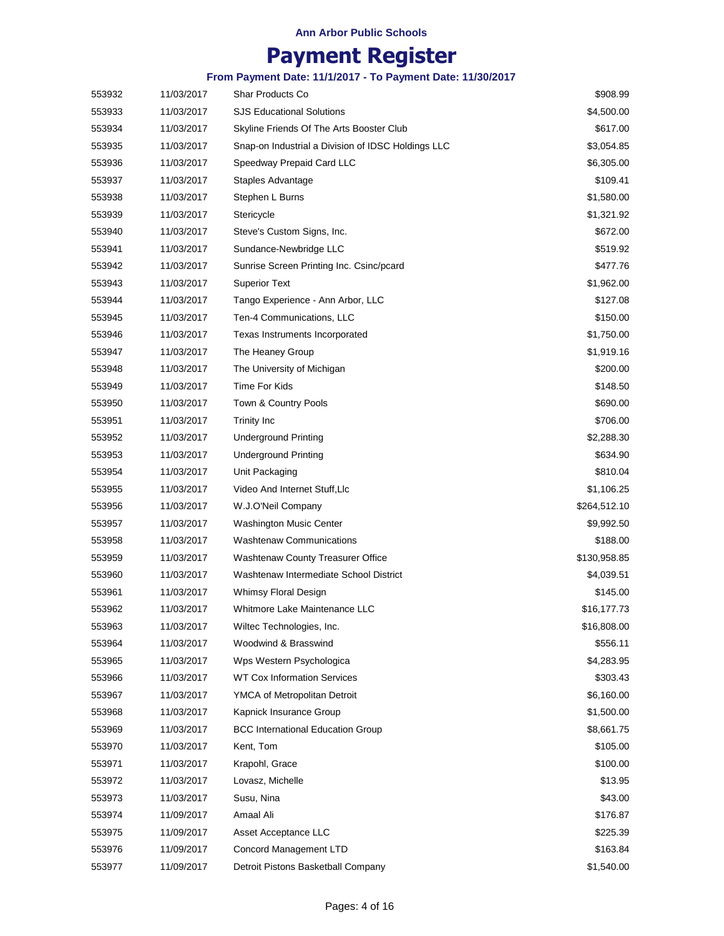## **Payment Register**

| 553932 | 11/03/2017 | Shar Products Co                                   | \$908.99     |
|--------|------------|----------------------------------------------------|--------------|
| 553933 | 11/03/2017 | <b>SJS Educational Solutions</b>                   | \$4,500.00   |
| 553934 | 11/03/2017 | Skyline Friends Of The Arts Booster Club           | \$617.00     |
| 553935 | 11/03/2017 | Snap-on Industrial a Division of IDSC Holdings LLC | \$3,054.85   |
| 553936 | 11/03/2017 | Speedway Prepaid Card LLC                          | \$6,305.00   |
| 553937 | 11/03/2017 | Staples Advantage                                  | \$109.41     |
| 553938 | 11/03/2017 | Stephen L Burns                                    | \$1,580.00   |
| 553939 | 11/03/2017 | Stericycle                                         | \$1,321.92   |
| 553940 | 11/03/2017 | Steve's Custom Signs, Inc.                         | \$672.00     |
| 553941 | 11/03/2017 | Sundance-Newbridge LLC                             | \$519.92     |
| 553942 | 11/03/2017 | Sunrise Screen Printing Inc. Csinc/pcard           | \$477.76     |
| 553943 | 11/03/2017 | <b>Superior Text</b>                               | \$1,962.00   |
| 553944 | 11/03/2017 | Tango Experience - Ann Arbor, LLC                  | \$127.08     |
| 553945 | 11/03/2017 | Ten-4 Communications, LLC                          | \$150.00     |
| 553946 | 11/03/2017 | Texas Instruments Incorporated                     | \$1,750.00   |
| 553947 | 11/03/2017 | The Heaney Group                                   | \$1,919.16   |
| 553948 | 11/03/2017 | The University of Michigan                         | \$200.00     |
| 553949 | 11/03/2017 | Time For Kids                                      | \$148.50     |
| 553950 | 11/03/2017 | Town & Country Pools                               | \$690.00     |
| 553951 | 11/03/2017 | <b>Trinity Inc</b>                                 | \$706.00     |
| 553952 | 11/03/2017 | <b>Underground Printing</b>                        | \$2,288.30   |
| 553953 | 11/03/2017 | <b>Underground Printing</b>                        | \$634.90     |
| 553954 | 11/03/2017 | Unit Packaging                                     | \$810.04     |
| 553955 | 11/03/2017 | Video And Internet Stuff, LIc                      | \$1,106.25   |
| 553956 | 11/03/2017 | W.J.O'Neil Company                                 | \$264,512.10 |
| 553957 | 11/03/2017 | <b>Washington Music Center</b>                     | \$9,992.50   |
| 553958 | 11/03/2017 | <b>Washtenaw Communications</b>                    | \$188.00     |
| 553959 | 11/03/2017 | Washtenaw County Treasurer Office                  | \$130,958.85 |
| 553960 | 11/03/2017 | Washtenaw Intermediate School District             | \$4,039.51   |
| 553961 | 11/03/2017 | Whimsy Floral Design                               | \$145.00     |
| 553962 | 11/03/2017 | Whitmore Lake Maintenance LLC                      | \$16,177.73  |
| 553963 | 11/03/2017 | Wiltec Technologies, Inc.                          | \$16,808.00  |
| 553964 | 11/03/2017 | Woodwind & Brasswind                               | \$556.11     |
| 553965 | 11/03/2017 | Wps Western Psychologica                           | \$4,283.95   |
| 553966 | 11/03/2017 | <b>WT Cox Information Services</b>                 | \$303.43     |
| 553967 | 11/03/2017 | YMCA of Metropolitan Detroit                       | \$6,160.00   |
| 553968 | 11/03/2017 | Kapnick Insurance Group                            | \$1,500.00   |
| 553969 | 11/03/2017 | <b>BCC International Education Group</b>           | \$8,661.75   |
| 553970 | 11/03/2017 | Kent, Tom                                          | \$105.00     |
| 553971 | 11/03/2017 | Krapohl, Grace                                     | \$100.00     |
| 553972 | 11/03/2017 | Lovasz, Michelle                                   | \$13.95      |
| 553973 | 11/03/2017 | Susu, Nina                                         | \$43.00      |
| 553974 | 11/09/2017 | Amaal Ali                                          | \$176.87     |
| 553975 | 11/09/2017 | Asset Acceptance LLC                               | \$225.39     |
| 553976 | 11/09/2017 | Concord Management LTD                             | \$163.84     |
| 553977 | 11/09/2017 | Detroit Pistons Basketball Company                 | \$1,540.00   |
|        |            |                                                    |              |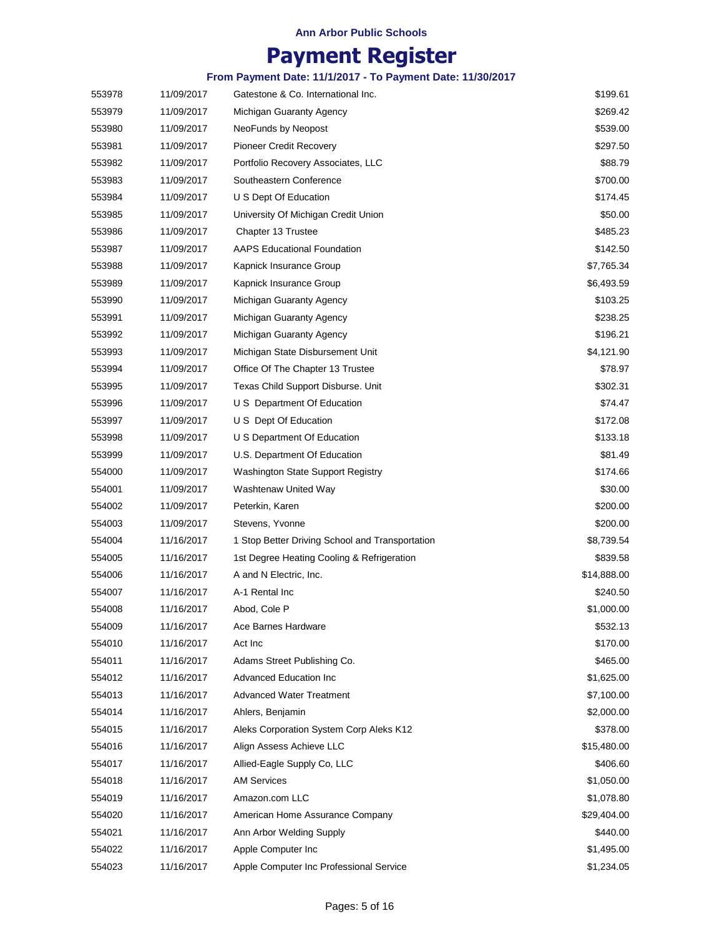## **Payment Register**

| 553978 | 11/09/2017 | Gatestone & Co. International Inc.              | \$199.61    |
|--------|------------|-------------------------------------------------|-------------|
| 553979 | 11/09/2017 | Michigan Guaranty Agency                        | \$269.42    |
| 553980 | 11/09/2017 | NeoFunds by Neopost                             | \$539.00    |
| 553981 | 11/09/2017 | <b>Pioneer Credit Recovery</b>                  | \$297.50    |
| 553982 | 11/09/2017 | Portfolio Recovery Associates, LLC              | \$88.79     |
| 553983 | 11/09/2017 | Southeastern Conference                         | \$700.00    |
| 553984 | 11/09/2017 | U S Dept Of Education                           | \$174.45    |
| 553985 | 11/09/2017 | University Of Michigan Credit Union             | \$50.00     |
| 553986 | 11/09/2017 | Chapter 13 Trustee                              | \$485.23    |
| 553987 | 11/09/2017 | <b>AAPS Educational Foundation</b>              | \$142.50    |
| 553988 | 11/09/2017 | Kapnick Insurance Group                         | \$7,765.34  |
| 553989 | 11/09/2017 | Kapnick Insurance Group                         | \$6,493.59  |
| 553990 | 11/09/2017 | Michigan Guaranty Agency                        | \$103.25    |
| 553991 | 11/09/2017 | Michigan Guaranty Agency                        | \$238.25    |
| 553992 | 11/09/2017 | Michigan Guaranty Agency                        | \$196.21    |
| 553993 | 11/09/2017 | Michigan State Disbursement Unit                | \$4,121.90  |
| 553994 | 11/09/2017 | Office Of The Chapter 13 Trustee                | \$78.97     |
| 553995 | 11/09/2017 | Texas Child Support Disburse. Unit              | \$302.31    |
| 553996 | 11/09/2017 | U S Department Of Education                     | \$74.47     |
| 553997 | 11/09/2017 | U S Dept Of Education                           | \$172.08    |
| 553998 | 11/09/2017 | U S Department Of Education                     | \$133.18    |
| 553999 | 11/09/2017 | U.S. Department Of Education                    | \$81.49     |
| 554000 | 11/09/2017 | <b>Washington State Support Registry</b>        | \$174.66    |
| 554001 | 11/09/2017 | Washtenaw United Way                            | \$30.00     |
| 554002 | 11/09/2017 | Peterkin, Karen                                 | \$200.00    |
| 554003 | 11/09/2017 | Stevens, Yvonne                                 | \$200.00    |
| 554004 | 11/16/2017 | 1 Stop Better Driving School and Transportation | \$8,739.54  |
| 554005 | 11/16/2017 | 1st Degree Heating Cooling & Refrigeration      | \$839.58    |
| 554006 | 11/16/2017 | A and N Electric, Inc.                          | \$14,888.00 |
| 554007 | 11/16/2017 | A-1 Rental Inc                                  | \$240.50    |
| 554008 | 11/16/2017 | Abod, Cole P                                    | \$1,000.00  |
| 554009 | 11/16/2017 | Ace Barnes Hardware                             | \$532.13    |
| 554010 | 11/16/2017 | Act Inc                                         | \$170.00    |
| 554011 | 11/16/2017 | Adams Street Publishing Co.                     | \$465.00    |
| 554012 | 11/16/2017 | Advanced Education Inc                          | \$1,625.00  |
| 554013 | 11/16/2017 | <b>Advanced Water Treatment</b>                 | \$7,100.00  |
| 554014 | 11/16/2017 | Ahlers, Benjamin                                | \$2,000.00  |
| 554015 | 11/16/2017 | Aleks Corporation System Corp Aleks K12         | \$378.00    |
| 554016 | 11/16/2017 | Align Assess Achieve LLC                        | \$15,480.00 |
| 554017 | 11/16/2017 | Allied-Eagle Supply Co, LLC                     | \$406.60    |
| 554018 | 11/16/2017 | <b>AM Services</b>                              | \$1,050.00  |
| 554019 | 11/16/2017 | Amazon.com LLC                                  | \$1,078.80  |
| 554020 | 11/16/2017 | American Home Assurance Company                 | \$29,404.00 |
| 554021 | 11/16/2017 | Ann Arbor Welding Supply                        | \$440.00    |
| 554022 | 11/16/2017 | Apple Computer Inc                              | \$1,495.00  |
| 554023 | 11/16/2017 | Apple Computer Inc Professional Service         | \$1,234.05  |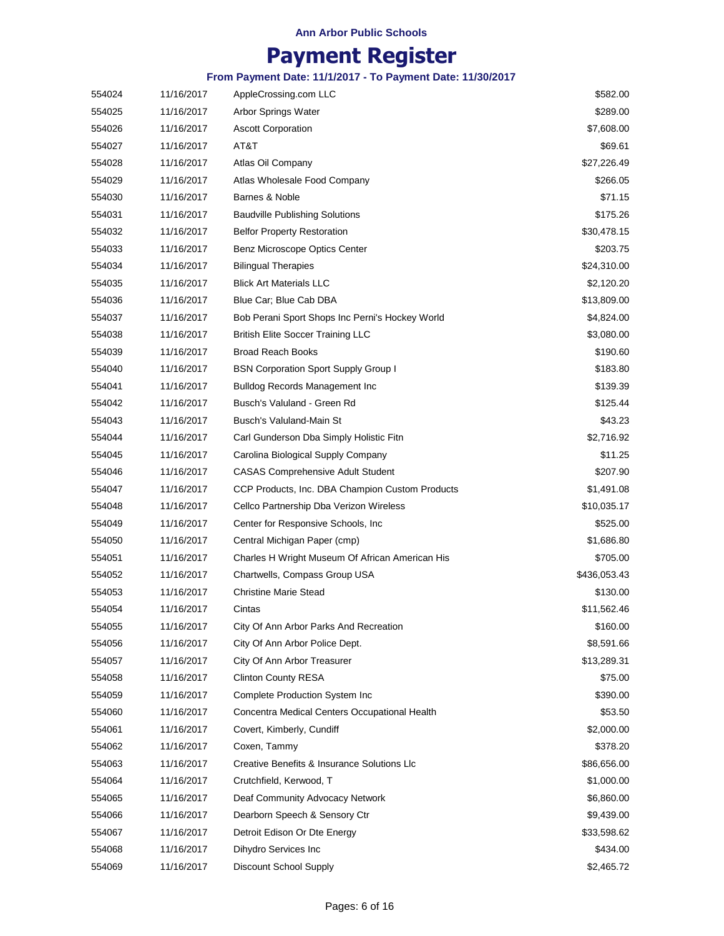## **Payment Register**

| 554024 | 11/16/2017 | AppleCrossing.com LLC                           | \$582.00     |
|--------|------------|-------------------------------------------------|--------------|
| 554025 | 11/16/2017 | Arbor Springs Water                             | \$289.00     |
| 554026 | 11/16/2017 | <b>Ascott Corporation</b>                       | \$7,608.00   |
| 554027 | 11/16/2017 | AT&T                                            | \$69.61      |
| 554028 | 11/16/2017 | Atlas Oil Company                               | \$27,226.49  |
| 554029 | 11/16/2017 | Atlas Wholesale Food Company                    | \$266.05     |
| 554030 | 11/16/2017 | Barnes & Noble                                  | \$71.15      |
| 554031 | 11/16/2017 | <b>Baudville Publishing Solutions</b>           | \$175.26     |
| 554032 | 11/16/2017 | <b>Belfor Property Restoration</b>              | \$30,478.15  |
| 554033 | 11/16/2017 | Benz Microscope Optics Center                   | \$203.75     |
| 554034 | 11/16/2017 | <b>Bilingual Therapies</b>                      | \$24,310.00  |
| 554035 | 11/16/2017 | <b>Blick Art Materials LLC</b>                  | \$2,120.20   |
| 554036 | 11/16/2017 | Blue Car; Blue Cab DBA                          | \$13,809.00  |
| 554037 | 11/16/2017 | Bob Perani Sport Shops Inc Perni's Hockey World | \$4,824.00   |
| 554038 | 11/16/2017 | <b>British Elite Soccer Training LLC</b>        | \$3,080.00   |
| 554039 | 11/16/2017 | <b>Broad Reach Books</b>                        | \$190.60     |
| 554040 | 11/16/2017 | <b>BSN Corporation Sport Supply Group I</b>     | \$183.80     |
| 554041 | 11/16/2017 | <b>Bulldog Records Management Inc.</b>          | \$139.39     |
| 554042 | 11/16/2017 | Busch's Valuland - Green Rd                     | \$125.44     |
| 554043 | 11/16/2017 | Busch's Valuland-Main St                        | \$43.23      |
| 554044 | 11/16/2017 | Carl Gunderson Dba Simply Holistic Fitn         | \$2,716.92   |
| 554045 | 11/16/2017 | Carolina Biological Supply Company              | \$11.25      |
| 554046 | 11/16/2017 | <b>CASAS Comprehensive Adult Student</b>        | \$207.90     |
| 554047 | 11/16/2017 | CCP Products, Inc. DBA Champion Custom Products | \$1,491.08   |
| 554048 | 11/16/2017 | Cellco Partnership Dba Verizon Wireless         | \$10,035.17  |
| 554049 | 11/16/2017 | Center for Responsive Schools, Inc.             | \$525.00     |
| 554050 | 11/16/2017 | Central Michigan Paper (cmp)                    | \$1,686.80   |
| 554051 | 11/16/2017 | Charles H Wright Museum Of African American His | \$705.00     |
| 554052 | 11/16/2017 | Chartwells, Compass Group USA                   | \$436,053.43 |
| 554053 | 11/16/2017 | <b>Christine Marie Stead</b>                    | \$130.00     |
| 554054 | 11/16/2017 | Cintas                                          | \$11,562.46  |
| 554055 | 11/16/2017 | City Of Ann Arbor Parks And Recreation          | \$160.00     |
| 554056 | 11/16/2017 | City Of Ann Arbor Police Dept.                  | \$8,591.66   |
| 554057 | 11/16/2017 | City Of Ann Arbor Treasurer                     | \$13,289.31  |
| 554058 | 11/16/2017 | <b>Clinton County RESA</b>                      | \$75.00      |
| 554059 | 11/16/2017 | <b>Complete Production System Inc</b>           | \$390.00     |
| 554060 | 11/16/2017 | Concentra Medical Centers Occupational Health   | \$53.50      |
| 554061 | 11/16/2017 | Covert, Kimberly, Cundiff                       | \$2,000.00   |
| 554062 | 11/16/2017 | Coxen, Tammy                                    | \$378.20     |
| 554063 | 11/16/2017 | Creative Benefits & Insurance Solutions LIc     | \$86,656.00  |
| 554064 | 11/16/2017 | Crutchfield, Kerwood, T                         | \$1,000.00   |
| 554065 | 11/16/2017 | Deaf Community Advocacy Network                 | \$6,860.00   |
| 554066 | 11/16/2017 | Dearborn Speech & Sensory Ctr                   | \$9,439.00   |
| 554067 | 11/16/2017 | Detroit Edison Or Dte Energy                    | \$33,598.62  |
| 554068 | 11/16/2017 | Dihydro Services Inc                            | \$434.00     |
| 554069 | 11/16/2017 | Discount School Supply                          | \$2,465.72   |
|        |            |                                                 |              |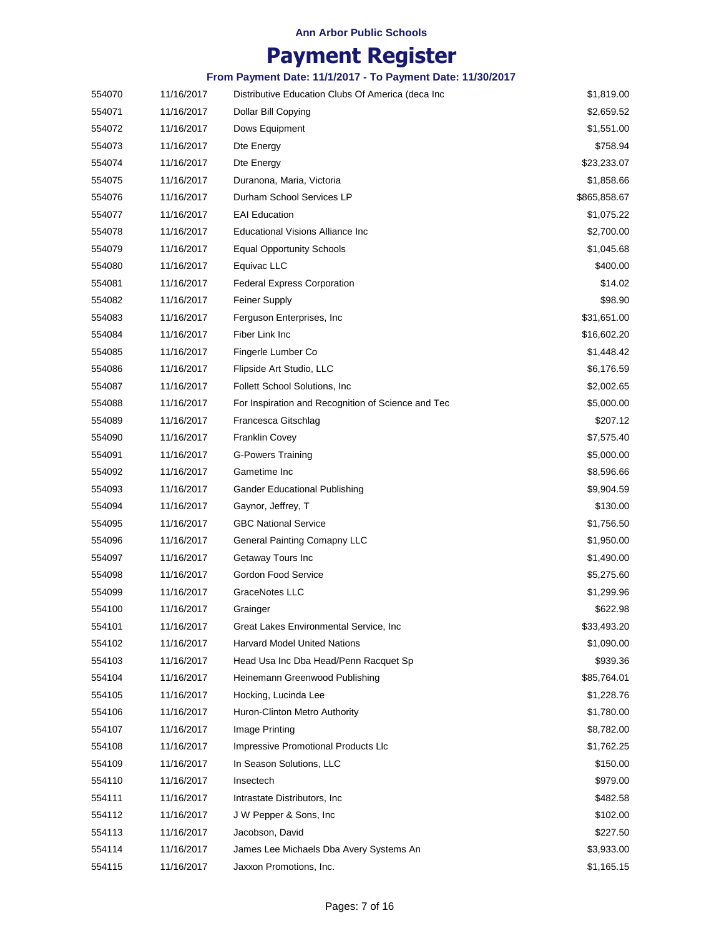## **Payment Register**

| 554070 | 11/16/2017 | Distributive Education Clubs Of America (deca Inc. | \$1,819.00   |
|--------|------------|----------------------------------------------------|--------------|
| 554071 | 11/16/2017 | Dollar Bill Copying                                | \$2,659.52   |
| 554072 | 11/16/2017 | Dows Equipment                                     | \$1,551.00   |
| 554073 | 11/16/2017 | Dte Energy                                         | \$758.94     |
| 554074 | 11/16/2017 | Dte Energy                                         | \$23,233.07  |
| 554075 | 11/16/2017 | Duranona, Maria, Victoria                          | \$1,858.66   |
| 554076 | 11/16/2017 | Durham School Services LP                          | \$865,858.67 |
| 554077 | 11/16/2017 | <b>EAI Education</b>                               | \$1,075.22   |
| 554078 | 11/16/2017 | Educational Visions Alliance Inc                   | \$2,700.00   |
| 554079 | 11/16/2017 | <b>Equal Opportunity Schools</b>                   | \$1,045.68   |
| 554080 | 11/16/2017 | Equivac LLC                                        | \$400.00     |
| 554081 | 11/16/2017 | <b>Federal Express Corporation</b>                 | \$14.02      |
| 554082 | 11/16/2017 | <b>Feiner Supply</b>                               | \$98.90      |
| 554083 | 11/16/2017 | Ferguson Enterprises, Inc.                         | \$31,651.00  |
| 554084 | 11/16/2017 | Fiber Link Inc                                     | \$16,602.20  |
| 554085 | 11/16/2017 | Fingerle Lumber Co                                 | \$1,448.42   |
| 554086 | 11/16/2017 | Flipside Art Studio, LLC                           | \$6,176.59   |
| 554087 | 11/16/2017 | Follett School Solutions, Inc.                     | \$2,002.65   |
| 554088 | 11/16/2017 | For Inspiration and Recognition of Science and Tec | \$5,000.00   |
| 554089 | 11/16/2017 | Francesca Gitschlag                                | \$207.12     |
| 554090 | 11/16/2017 | <b>Franklin Covey</b>                              | \$7,575.40   |
| 554091 | 11/16/2017 | <b>G-Powers Training</b>                           | \$5,000.00   |
| 554092 | 11/16/2017 | Gametime Inc                                       | \$8,596.66   |
| 554093 | 11/16/2017 | <b>Gander Educational Publishing</b>               | \$9,904.59   |
| 554094 | 11/16/2017 | Gaynor, Jeffrey, T                                 | \$130.00     |
| 554095 | 11/16/2017 | <b>GBC National Service</b>                        | \$1,756.50   |
| 554096 | 11/16/2017 | General Painting Comapny LLC                       | \$1,950.00   |
| 554097 | 11/16/2017 | Getaway Tours Inc                                  | \$1,490.00   |
| 554098 | 11/16/2017 | Gordon Food Service                                | \$5,275.60   |
| 554099 | 11/16/2017 | <b>GraceNotes LLC</b>                              | \$1,299.96   |
| 554100 | 11/16/2017 | Grainger                                           | \$622.98     |
| 554101 | 11/16/2017 | Great Lakes Environmental Service, Inc.            | \$33,493.20  |
| 554102 | 11/16/2017 | <b>Harvard Model United Nations</b>                | \$1,090.00   |
| 554103 | 11/16/2017 | Head Usa Inc Dba Head/Penn Racquet Sp              | \$939.36     |
| 554104 | 11/16/2017 | Heinemann Greenwood Publishing                     | \$85,764.01  |
| 554105 | 11/16/2017 | Hocking, Lucinda Lee                               | \$1,228.76   |
| 554106 | 11/16/2017 | Huron-Clinton Metro Authority                      | \$1,780.00   |
| 554107 | 11/16/2017 | Image Printing                                     | \$8,782.00   |
| 554108 | 11/16/2017 | Impressive Promotional Products Llc                | \$1,762.25   |
| 554109 | 11/16/2017 | In Season Solutions, LLC                           | \$150.00     |
| 554110 | 11/16/2017 | Insectech                                          | \$979.00     |
| 554111 | 11/16/2017 | Intrastate Distributors, Inc.                      | \$482.58     |
| 554112 | 11/16/2017 | J W Pepper & Sons, Inc                             | \$102.00     |
| 554113 | 11/16/2017 | Jacobson, David                                    | \$227.50     |
| 554114 | 11/16/2017 | James Lee Michaels Dba Avery Systems An            | \$3,933.00   |
| 554115 | 11/16/2017 | Jaxxon Promotions, Inc.                            | \$1,165.15   |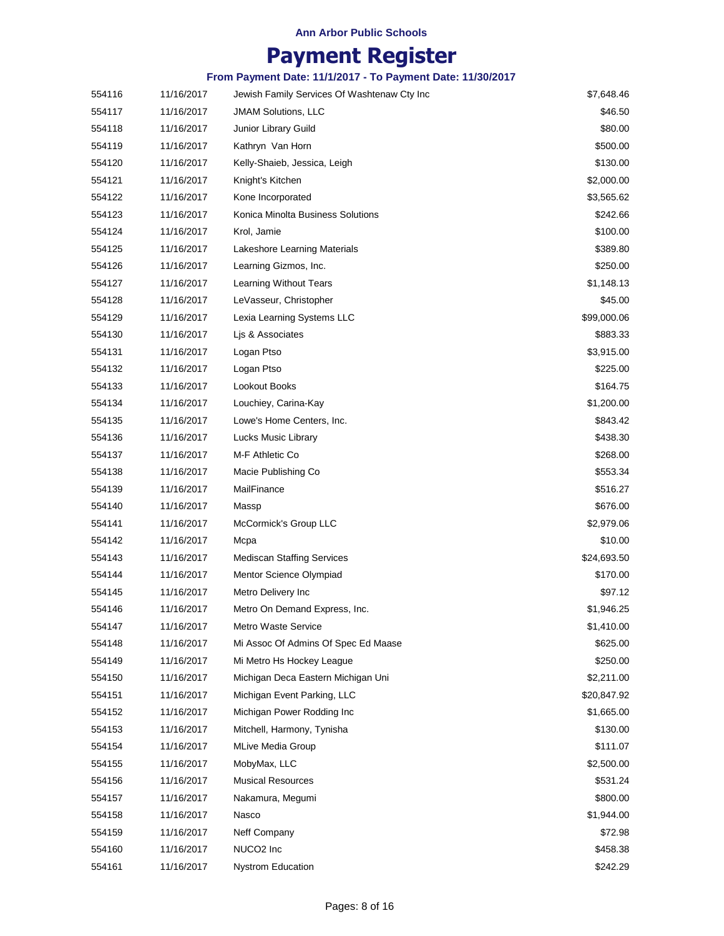## **Payment Register**

| 554116 | 11/16/2017 | Jewish Family Services Of Washtenaw Cty Inc | \$7,648.46  |
|--------|------------|---------------------------------------------|-------------|
| 554117 | 11/16/2017 | <b>JMAM Solutions, LLC</b>                  | \$46.50     |
| 554118 | 11/16/2017 | Junior Library Guild                        | \$80.00     |
| 554119 | 11/16/2017 | Kathryn Van Horn                            | \$500.00    |
| 554120 | 11/16/2017 | Kelly-Shaieb, Jessica, Leigh                | \$130.00    |
| 554121 | 11/16/2017 | Knight's Kitchen                            | \$2,000.00  |
| 554122 | 11/16/2017 | Kone Incorporated                           | \$3,565.62  |
| 554123 | 11/16/2017 | Konica Minolta Business Solutions           | \$242.66    |
| 554124 | 11/16/2017 | Krol, Jamie                                 | \$100.00    |
| 554125 | 11/16/2017 | Lakeshore Learning Materials                | \$389.80    |
| 554126 | 11/16/2017 | Learning Gizmos, Inc.                       | \$250.00    |
| 554127 | 11/16/2017 | Learning Without Tears                      | \$1,148.13  |
| 554128 | 11/16/2017 | LeVasseur, Christopher                      | \$45.00     |
| 554129 | 11/16/2017 | Lexia Learning Systems LLC                  | \$99,000.06 |
| 554130 | 11/16/2017 | Lis & Associates                            | \$883.33    |
| 554131 | 11/16/2017 | Logan Ptso                                  | \$3,915.00  |
| 554132 | 11/16/2017 | Logan Ptso                                  | \$225.00    |
| 554133 | 11/16/2017 | Lookout Books                               | \$164.75    |
| 554134 | 11/16/2017 | Louchiey, Carina-Kay                        | \$1,200.00  |
| 554135 | 11/16/2017 | Lowe's Home Centers, Inc.                   | \$843.42    |
| 554136 | 11/16/2017 | Lucks Music Library                         | \$438.30    |
| 554137 | 11/16/2017 | M-F Athletic Co                             | \$268.00    |
| 554138 | 11/16/2017 | Macie Publishing Co                         | \$553.34    |
| 554139 | 11/16/2017 | MailFinance                                 | \$516.27    |
| 554140 | 11/16/2017 | Massp                                       | \$676.00    |
| 554141 | 11/16/2017 | McCormick's Group LLC                       | \$2,979.06  |
| 554142 | 11/16/2017 | Mcpa                                        | \$10.00     |
| 554143 | 11/16/2017 | <b>Mediscan Staffing Services</b>           | \$24,693.50 |
| 554144 | 11/16/2017 | Mentor Science Olympiad                     | \$170.00    |
| 554145 | 11/16/2017 | Metro Delivery Inc                          | \$97.12     |
| 554146 | 11/16/2017 | Metro On Demand Express, Inc.               | \$1,946.25  |
| 554147 | 11/16/2017 | <b>Metro Waste Service</b>                  | \$1,410.00  |
| 554148 | 11/16/2017 | Mi Assoc Of Admins Of Spec Ed Maase         | \$625.00    |
| 554149 | 11/16/2017 | Mi Metro Hs Hockey League                   | \$250.00    |
| 554150 | 11/16/2017 | Michigan Deca Eastern Michigan Uni          | \$2,211.00  |
| 554151 | 11/16/2017 | Michigan Event Parking, LLC                 | \$20,847.92 |
| 554152 | 11/16/2017 | Michigan Power Rodding Inc                  | \$1,665.00  |
| 554153 | 11/16/2017 | Mitchell, Harmony, Tynisha                  | \$130.00    |
| 554154 | 11/16/2017 | <b>MLive Media Group</b>                    | \$111.07    |
| 554155 | 11/16/2017 | MobyMax, LLC                                | \$2,500.00  |
| 554156 | 11/16/2017 | <b>Musical Resources</b>                    | \$531.24    |
| 554157 | 11/16/2017 | Nakamura, Megumi                            | \$800.00    |
| 554158 | 11/16/2017 | Nasco                                       | \$1,944.00  |
| 554159 | 11/16/2017 | Neff Company                                | \$72.98     |
| 554160 | 11/16/2017 | NUCO <sub>2</sub> Inc                       | \$458.38    |
| 554161 | 11/16/2017 | <b>Nystrom Education</b>                    | \$242.29    |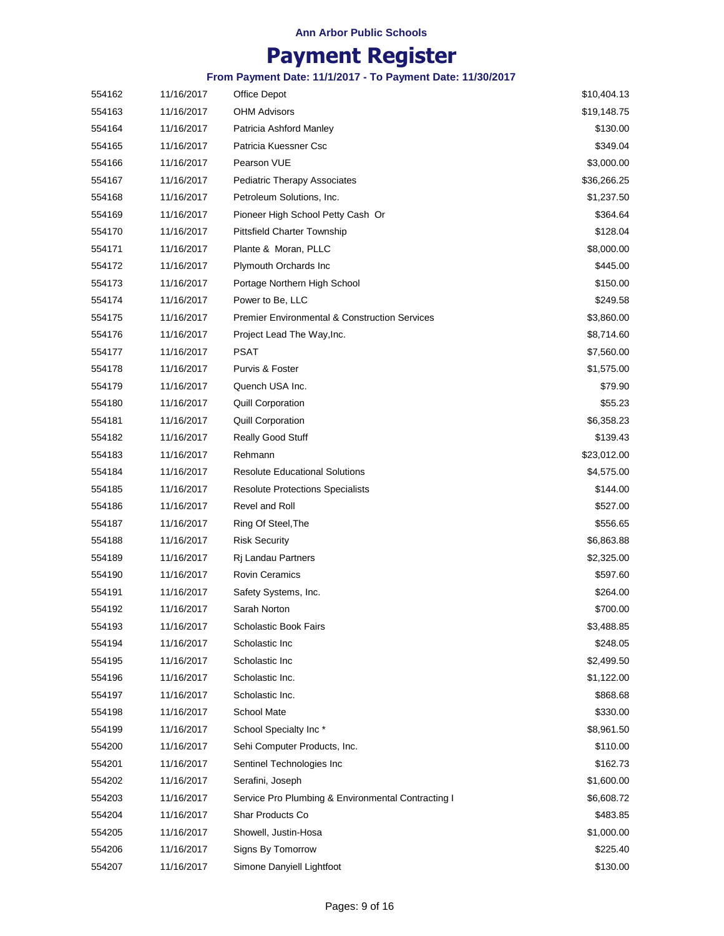## **Payment Register**

| 554162 | 11/16/2017 | Office Depot                                             | \$10,404.13 |
|--------|------------|----------------------------------------------------------|-------------|
| 554163 | 11/16/2017 | <b>OHM Advisors</b>                                      | \$19,148.75 |
| 554164 | 11/16/2017 | Patricia Ashford Manley                                  | \$130.00    |
| 554165 | 11/16/2017 | Patricia Kuessner Csc                                    | \$349.04    |
| 554166 | 11/16/2017 | Pearson VUE                                              | \$3,000.00  |
| 554167 | 11/16/2017 | <b>Pediatric Therapy Associates</b>                      | \$36,266.25 |
| 554168 | 11/16/2017 | Petroleum Solutions, Inc.                                | \$1,237.50  |
| 554169 | 11/16/2017 | Pioneer High School Petty Cash Or                        | \$364.64    |
| 554170 | 11/16/2017 | <b>Pittsfield Charter Township</b>                       | \$128.04    |
| 554171 | 11/16/2017 | Plante & Moran, PLLC                                     | \$8,000.00  |
| 554172 | 11/16/2017 | Plymouth Orchards Inc                                    | \$445.00    |
| 554173 | 11/16/2017 | Portage Northern High School                             | \$150.00    |
| 554174 | 11/16/2017 | Power to Be, LLC                                         | \$249.58    |
| 554175 | 11/16/2017 | <b>Premier Environmental &amp; Construction Services</b> | \$3,860.00  |
| 554176 | 11/16/2017 | Project Lead The Way, Inc.                               | \$8,714.60  |
| 554177 | 11/16/2017 | PSAT                                                     | \$7,560.00  |
| 554178 | 11/16/2017 | Purvis & Foster                                          | \$1,575.00  |
| 554179 | 11/16/2017 | Quench USA Inc.                                          | \$79.90     |
| 554180 | 11/16/2017 | <b>Quill Corporation</b>                                 | \$55.23     |
| 554181 | 11/16/2017 | <b>Quill Corporation</b>                                 | \$6,358.23  |
| 554182 | 11/16/2017 | <b>Really Good Stuff</b>                                 | \$139.43    |
| 554183 | 11/16/2017 | Rehmann                                                  | \$23,012.00 |
| 554184 | 11/16/2017 | <b>Resolute Educational Solutions</b>                    | \$4,575.00  |
| 554185 | 11/16/2017 | <b>Resolute Protections Specialists</b>                  | \$144.00    |
| 554186 | 11/16/2017 | Revel and Roll                                           | \$527.00    |
| 554187 | 11/16/2017 | Ring Of Steel, The                                       | \$556.65    |
| 554188 | 11/16/2017 | <b>Risk Security</b>                                     | \$6,863.88  |
| 554189 | 11/16/2017 | Rj Landau Partners                                       | \$2,325.00  |
| 554190 | 11/16/2017 | <b>Rovin Ceramics</b>                                    | \$597.60    |
| 554191 | 11/16/2017 | Safety Systems, Inc.                                     | \$264.00    |
| 554192 | 11/16/2017 | Sarah Norton                                             | \$700.00    |
| 554193 | 11/16/2017 | Scholastic Book Fairs                                    | \$3,488.85  |
| 554194 | 11/16/2017 | Scholastic Inc                                           | \$248.05    |
| 554195 | 11/16/2017 | Scholastic Inc                                           | \$2,499.50  |
| 554196 | 11/16/2017 | Scholastic Inc.                                          | \$1,122.00  |
| 554197 | 11/16/2017 | Scholastic Inc.                                          | \$868.68    |
| 554198 | 11/16/2017 | <b>School Mate</b>                                       | \$330.00    |
| 554199 | 11/16/2017 | School Specialty Inc*                                    | \$8,961.50  |
| 554200 | 11/16/2017 | Sehi Computer Products, Inc.                             | \$110.00    |
| 554201 | 11/16/2017 | Sentinel Technologies Inc                                | \$162.73    |
| 554202 | 11/16/2017 | Serafini, Joseph                                         | \$1,600.00  |
| 554203 | 11/16/2017 | Service Pro Plumbing & Environmental Contracting I       | \$6,608.72  |
| 554204 | 11/16/2017 | Shar Products Co                                         | \$483.85    |
| 554205 | 11/16/2017 | Showell, Justin-Hosa                                     | \$1,000.00  |
| 554206 | 11/16/2017 | Signs By Tomorrow                                        | \$225.40    |
| 554207 | 11/16/2017 | Simone Danyiell Lightfoot                                | \$130.00    |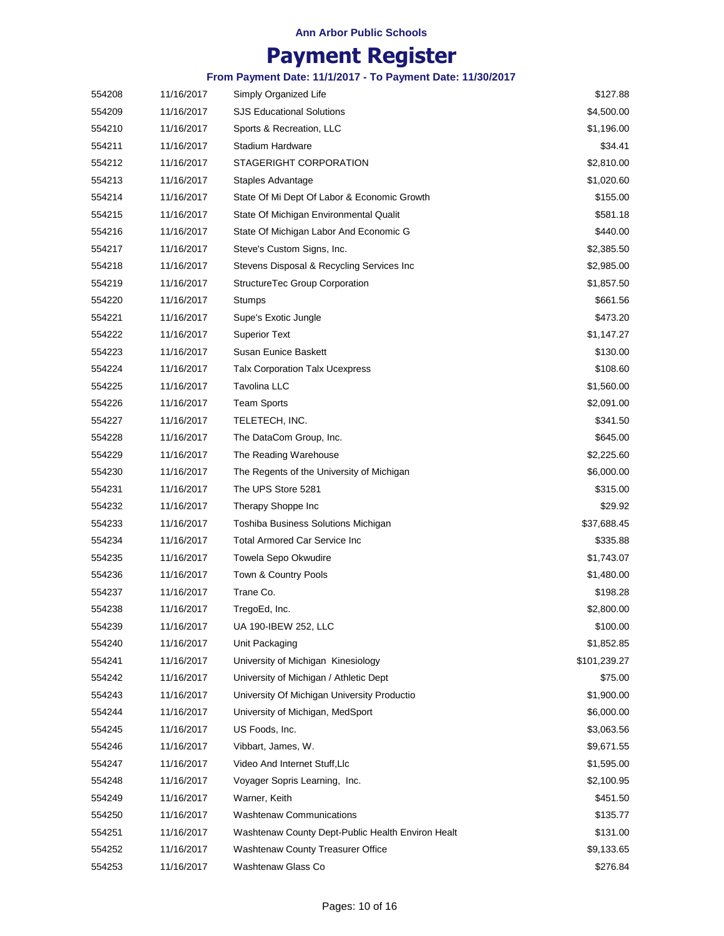## **Payment Register**

| 554208 | 11/16/2017 | Simply Organized Life                             | \$127.88     |
|--------|------------|---------------------------------------------------|--------------|
| 554209 | 11/16/2017 | <b>SJS Educational Solutions</b>                  | \$4,500.00   |
| 554210 | 11/16/2017 | Sports & Recreation, LLC                          | \$1,196.00   |
| 554211 | 11/16/2017 | Stadium Hardware                                  | \$34.41      |
| 554212 | 11/16/2017 | STAGERIGHT CORPORATION                            | \$2,810.00   |
| 554213 | 11/16/2017 | Staples Advantage                                 | \$1,020.60   |
| 554214 | 11/16/2017 | State Of Mi Dept Of Labor & Economic Growth       | \$155.00     |
| 554215 | 11/16/2017 | State Of Michigan Environmental Qualit            | \$581.18     |
| 554216 | 11/16/2017 | State Of Michigan Labor And Economic G            | \$440.00     |
| 554217 | 11/16/2017 | Steve's Custom Signs, Inc.                        | \$2,385.50   |
| 554218 | 11/16/2017 | Stevens Disposal & Recycling Services Inc         | \$2,985.00   |
| 554219 | 11/16/2017 | StructureTec Group Corporation                    | \$1,857.50   |
| 554220 | 11/16/2017 | Stumps                                            | \$661.56     |
| 554221 | 11/16/2017 | Supe's Exotic Jungle                              | \$473.20     |
| 554222 | 11/16/2017 | <b>Superior Text</b>                              | \$1,147.27   |
| 554223 | 11/16/2017 | Susan Eunice Baskett                              | \$130.00     |
| 554224 | 11/16/2017 | <b>Talx Corporation Talx Ucexpress</b>            | \$108.60     |
| 554225 | 11/16/2017 | <b>Tavolina LLC</b>                               | \$1,560.00   |
| 554226 | 11/16/2017 | <b>Team Sports</b>                                | \$2,091.00   |
| 554227 | 11/16/2017 | TELETECH, INC.                                    | \$341.50     |
| 554228 | 11/16/2017 | The DataCom Group, Inc.                           | \$645.00     |
| 554229 | 11/16/2017 | The Reading Warehouse                             | \$2,225.60   |
| 554230 | 11/16/2017 | The Regents of the University of Michigan         | \$6,000.00   |
| 554231 | 11/16/2017 | The UPS Store 5281                                | \$315.00     |
| 554232 | 11/16/2017 | Therapy Shoppe Inc                                | \$29.92      |
| 554233 | 11/16/2017 | Toshiba Business Solutions Michigan               | \$37,688.45  |
| 554234 | 11/16/2017 | Total Armored Car Service Inc                     | \$335.88     |
| 554235 | 11/16/2017 | Towela Sepo Okwudire                              | \$1,743.07   |
| 554236 | 11/16/2017 | Town & Country Pools                              | \$1,480.00   |
| 554237 | 11/16/2017 | Trane Co.                                         | \$198.28     |
| 554238 | 11/16/2017 | TregoEd, Inc.                                     | \$2,800.00   |
| 554239 | 11/16/2017 | UA 190-IBEW 252, LLC                              | \$100.00     |
| 554240 | 11/16/2017 | Unit Packaging                                    | \$1,852.85   |
| 554241 | 11/16/2017 | University of Michigan Kinesiology                | \$101,239.27 |
| 554242 | 11/16/2017 | University of Michigan / Athletic Dept            | \$75.00      |
| 554243 | 11/16/2017 | University Of Michigan University Productio       | \$1,900.00   |
| 554244 | 11/16/2017 | University of Michigan, MedSport                  | \$6,000.00   |
| 554245 | 11/16/2017 | US Foods, Inc.                                    | \$3,063.56   |
| 554246 | 11/16/2017 | Vibbart, James, W.                                | \$9,671.55   |
| 554247 | 11/16/2017 | Video And Internet Stuff, Llc                     | \$1,595.00   |
| 554248 | 11/16/2017 | Voyager Sopris Learning, Inc.                     | \$2,100.95   |
| 554249 | 11/16/2017 | Warner, Keith                                     | \$451.50     |
| 554250 | 11/16/2017 | <b>Washtenaw Communications</b>                   | \$135.77     |
| 554251 | 11/16/2017 | Washtenaw County Dept-Public Health Environ Healt | \$131.00     |
| 554252 | 11/16/2017 | Washtenaw County Treasurer Office                 | \$9,133.65   |
| 554253 | 11/16/2017 | Washtenaw Glass Co                                | \$276.84     |
|        |            |                                                   |              |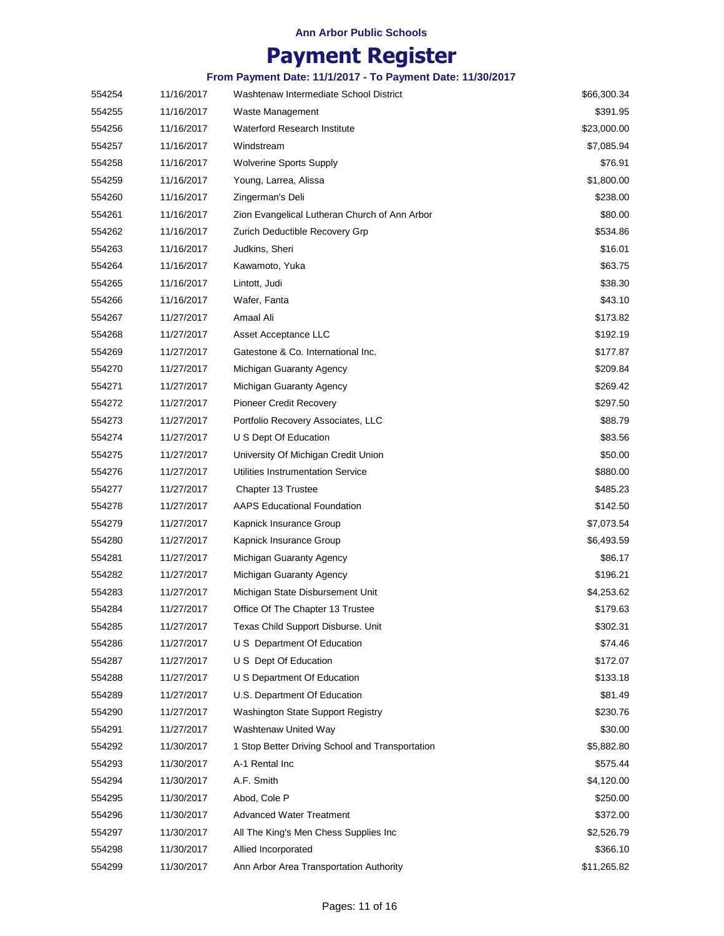## **Payment Register**

| 554254 | 11/16/2017 | Washtenaw Intermediate School District          | \$66,300.34 |
|--------|------------|-------------------------------------------------|-------------|
| 554255 | 11/16/2017 | Waste Management                                | \$391.95    |
| 554256 | 11/16/2017 | <b>Waterford Research Institute</b>             | \$23,000.00 |
| 554257 | 11/16/2017 | Windstream                                      | \$7,085.94  |
| 554258 | 11/16/2017 | <b>Wolverine Sports Supply</b>                  | \$76.91     |
| 554259 | 11/16/2017 | Young, Larrea, Alissa                           | \$1,800.00  |
| 554260 | 11/16/2017 | Zingerman's Deli                                | \$238.00    |
| 554261 | 11/16/2017 | Zion Evangelical Lutheran Church of Ann Arbor   | \$80.00     |
| 554262 | 11/16/2017 | Zurich Deductible Recovery Grp                  | \$534.86    |
| 554263 | 11/16/2017 | Judkins, Sheri                                  | \$16.01     |
| 554264 | 11/16/2017 | Kawamoto, Yuka                                  | \$63.75     |
| 554265 | 11/16/2017 | Lintott, Judi                                   | \$38.30     |
| 554266 | 11/16/2017 | Wafer, Fanta                                    | \$43.10     |
| 554267 | 11/27/2017 | Amaal Ali                                       | \$173.82    |
| 554268 | 11/27/2017 | Asset Acceptance LLC                            | \$192.19    |
| 554269 | 11/27/2017 | Gatestone & Co. International Inc.              | \$177.87    |
| 554270 | 11/27/2017 | Michigan Guaranty Agency                        | \$209.84    |
| 554271 | 11/27/2017 | Michigan Guaranty Agency                        | \$269.42    |
| 554272 | 11/27/2017 | <b>Pioneer Credit Recovery</b>                  | \$297.50    |
| 554273 | 11/27/2017 | Portfolio Recovery Associates, LLC              | \$88.79     |
| 554274 | 11/27/2017 | U S Dept Of Education                           | \$83.56     |
| 554275 | 11/27/2017 | University Of Michigan Credit Union             | \$50.00     |
| 554276 | 11/27/2017 | Utilities Instrumentation Service               | \$880.00    |
| 554277 | 11/27/2017 | Chapter 13 Trustee                              | \$485.23    |
| 554278 | 11/27/2017 | <b>AAPS Educational Foundation</b>              | \$142.50    |
| 554279 | 11/27/2017 | Kapnick Insurance Group                         | \$7,073.54  |
| 554280 | 11/27/2017 | Kapnick Insurance Group                         | \$6,493.59  |
| 554281 | 11/27/2017 | Michigan Guaranty Agency                        | \$86.17     |
| 554282 | 11/27/2017 | Michigan Guaranty Agency                        | \$196.21    |
| 554283 | 11/27/2017 | Michigan State Disbursement Unit                | \$4,253.62  |
| 554284 | 11/27/2017 | Office Of The Chapter 13 Trustee                | \$179.63    |
| 554285 | 11/27/2017 | Texas Child Support Disburse. Unit              | \$302.31    |
| 554286 | 11/27/2017 | U S Department Of Education                     | \$74.46     |
| 554287 | 11/27/2017 | U S Dept Of Education                           | \$172.07    |
| 554288 | 11/27/2017 | U S Department Of Education                     | \$133.18    |
| 554289 | 11/27/2017 | U.S. Department Of Education                    | \$81.49     |
| 554290 | 11/27/2017 | Washington State Support Registry               | \$230.76    |
| 554291 | 11/27/2017 | Washtenaw United Way                            | \$30.00     |
| 554292 | 11/30/2017 | 1 Stop Better Driving School and Transportation | \$5,882.80  |
| 554293 | 11/30/2017 | A-1 Rental Inc                                  | \$575.44    |
| 554294 | 11/30/2017 | A.F. Smith                                      | \$4,120.00  |
| 554295 | 11/30/2017 | Abod, Cole P                                    | \$250.00    |
| 554296 | 11/30/2017 | <b>Advanced Water Treatment</b>                 | \$372.00    |
| 554297 | 11/30/2017 | All The King's Men Chess Supplies Inc           | \$2,526.79  |
| 554298 | 11/30/2017 | Allied Incorporated                             | \$366.10    |
| 554299 | 11/30/2017 | Ann Arbor Area Transportation Authority         | \$11,265.82 |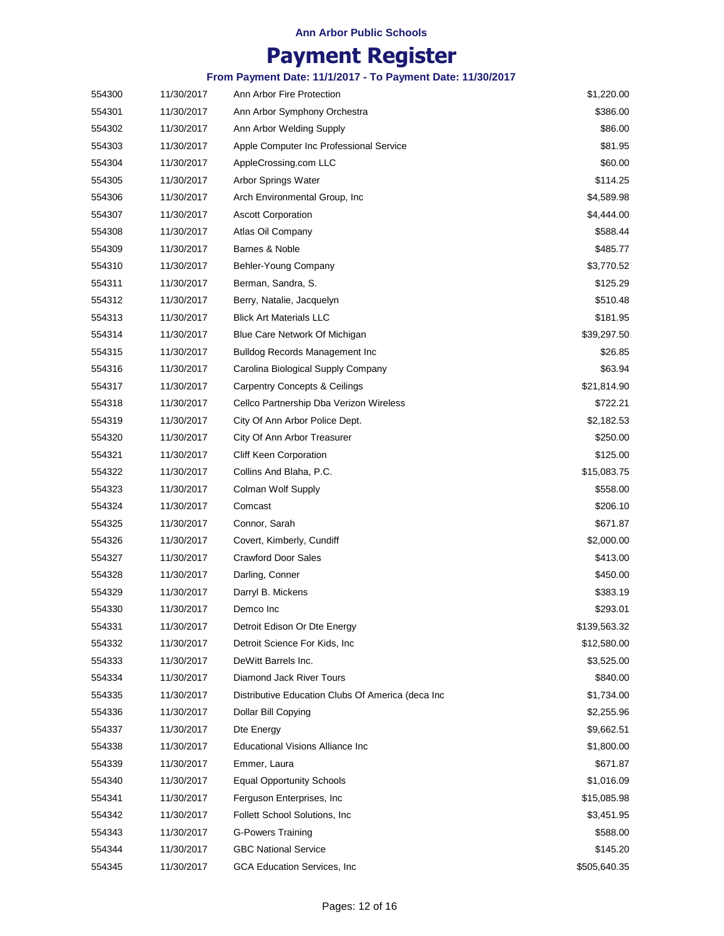## **Payment Register**

| 554300 | 11/30/2017 | Ann Arbor Fire Protection                         | \$1,220.00   |
|--------|------------|---------------------------------------------------|--------------|
| 554301 | 11/30/2017 | Ann Arbor Symphony Orchestra                      | \$386.00     |
| 554302 | 11/30/2017 | Ann Arbor Welding Supply                          | \$86.00      |
| 554303 | 11/30/2017 | Apple Computer Inc Professional Service           | \$81.95      |
| 554304 | 11/30/2017 | AppleCrossing.com LLC                             | \$60.00      |
| 554305 | 11/30/2017 | Arbor Springs Water                               | \$114.25     |
| 554306 | 11/30/2017 | Arch Environmental Group, Inc.                    | \$4,589.98   |
| 554307 | 11/30/2017 | <b>Ascott Corporation</b>                         | \$4,444.00   |
| 554308 | 11/30/2017 | Atlas Oil Company                                 | \$588.44     |
| 554309 | 11/30/2017 | Barnes & Noble                                    | \$485.77     |
| 554310 | 11/30/2017 | Behler-Young Company                              | \$3,770.52   |
| 554311 | 11/30/2017 | Berman, Sandra, S.                                | \$125.29     |
| 554312 | 11/30/2017 | Berry, Natalie, Jacquelyn                         | \$510.48     |
| 554313 | 11/30/2017 | <b>Blick Art Materials LLC</b>                    | \$181.95     |
| 554314 | 11/30/2017 | Blue Care Network Of Michigan                     | \$39,297.50  |
| 554315 | 11/30/2017 | <b>Bulldog Records Management Inc.</b>            | \$26.85      |
| 554316 | 11/30/2017 | Carolina Biological Supply Company                | \$63.94      |
| 554317 | 11/30/2017 | <b>Carpentry Concepts &amp; Ceilings</b>          | \$21,814.90  |
| 554318 | 11/30/2017 | Cellco Partnership Dba Verizon Wireless           | \$722.21     |
| 554319 | 11/30/2017 | City Of Ann Arbor Police Dept.                    | \$2,182.53   |
| 554320 | 11/30/2017 | City Of Ann Arbor Treasurer                       | \$250.00     |
| 554321 | 11/30/2017 | <b>Cliff Keen Corporation</b>                     | \$125.00     |
| 554322 | 11/30/2017 | Collins And Blaha, P.C.                           | \$15,083.75  |
| 554323 | 11/30/2017 | Colman Wolf Supply                                | \$558.00     |
| 554324 | 11/30/2017 | Comcast                                           | \$206.10     |
| 554325 | 11/30/2017 | Connor, Sarah                                     | \$671.87     |
| 554326 | 11/30/2017 | Covert, Kimberly, Cundiff                         | \$2,000.00   |
| 554327 | 11/30/2017 | <b>Crawford Door Sales</b>                        | \$413.00     |
| 554328 | 11/30/2017 | Darling, Conner                                   | \$450.00     |
| 554329 | 11/30/2017 | Darryl B. Mickens                                 | \$383.19     |
| 554330 | 11/30/2017 | Demco Inc                                         | \$293.01     |
| 554331 | 11/30/2017 | Detroit Edison Or Dte Energy                      | \$139,563.32 |
| 554332 | 11/30/2017 | Detroit Science For Kids, Inc.                    | \$12,580.00  |
| 554333 | 11/30/2017 | DeWitt Barrels Inc.                               | \$3,525.00   |
| 554334 | 11/30/2017 | Diamond Jack River Tours                          | \$840.00     |
| 554335 | 11/30/2017 | Distributive Education Clubs Of America (deca Inc | \$1,734.00   |
| 554336 | 11/30/2017 | Dollar Bill Copying                               | \$2,255.96   |
| 554337 | 11/30/2017 | Dte Energy                                        | \$9,662.51   |
| 554338 | 11/30/2017 | <b>Educational Visions Alliance Inc</b>           | \$1,800.00   |
| 554339 | 11/30/2017 | Emmer, Laura                                      | \$671.87     |
| 554340 | 11/30/2017 | <b>Equal Opportunity Schools</b>                  | \$1,016.09   |
| 554341 | 11/30/2017 | Ferguson Enterprises, Inc.                        | \$15,085.98  |
| 554342 | 11/30/2017 | Follett School Solutions, Inc.                    | \$3,451.95   |
| 554343 | 11/30/2017 | G-Powers Training                                 | \$588.00     |
| 554344 | 11/30/2017 | <b>GBC National Service</b>                       | \$145.20     |
| 554345 | 11/30/2017 | GCA Education Services, Inc                       | \$505,640.35 |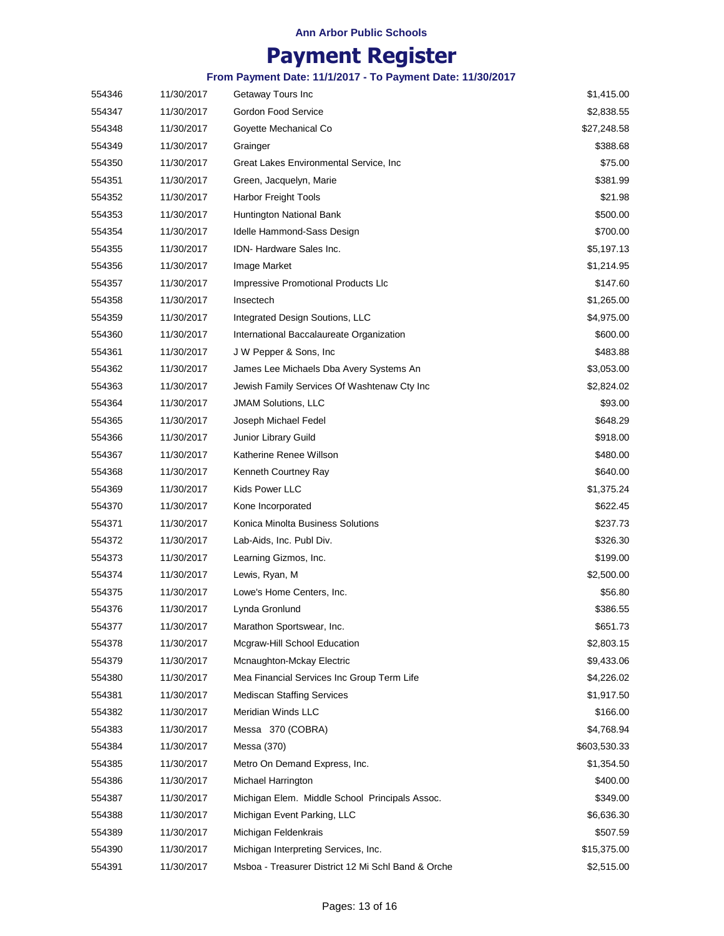## **Payment Register**

| 554346 | 11/30/2017 | Getaway Tours Inc                                  | \$1,415.00   |
|--------|------------|----------------------------------------------------|--------------|
| 554347 | 11/30/2017 | Gordon Food Service                                | \$2,838.55   |
| 554348 | 11/30/2017 | Goyette Mechanical Co                              | \$27,248.58  |
| 554349 | 11/30/2017 | Grainger                                           | \$388.68     |
| 554350 | 11/30/2017 | Great Lakes Environmental Service, Inc             | \$75.00      |
| 554351 | 11/30/2017 | Green, Jacquelyn, Marie                            | \$381.99     |
| 554352 | 11/30/2017 | Harbor Freight Tools                               | \$21.98      |
| 554353 | 11/30/2017 | Huntington National Bank                           | \$500.00     |
| 554354 | 11/30/2017 | Idelle Hammond-Sass Design                         | \$700.00     |
| 554355 | 11/30/2017 | IDN- Hardware Sales Inc.                           | \$5,197.13   |
| 554356 | 11/30/2017 | Image Market                                       | \$1,214.95   |
| 554357 | 11/30/2017 | Impressive Promotional Products Llc                | \$147.60     |
| 554358 | 11/30/2017 | Insectech                                          | \$1,265.00   |
| 554359 | 11/30/2017 | Integrated Design Soutions, LLC                    | \$4,975.00   |
| 554360 | 11/30/2017 | International Baccalaureate Organization           | \$600.00     |
| 554361 | 11/30/2017 | J W Pepper & Sons, Inc.                            | \$483.88     |
| 554362 | 11/30/2017 | James Lee Michaels Dba Avery Systems An            | \$3,053.00   |
| 554363 | 11/30/2017 | Jewish Family Services Of Washtenaw Cty Inc        | \$2,824.02   |
| 554364 | 11/30/2017 | <b>JMAM Solutions, LLC</b>                         | \$93.00      |
| 554365 | 11/30/2017 | Joseph Michael Fedel                               | \$648.29     |
| 554366 | 11/30/2017 | Junior Library Guild                               | \$918.00     |
| 554367 | 11/30/2017 | Katherine Renee Willson                            | \$480.00     |
| 554368 | 11/30/2017 | Kenneth Courtney Ray                               | \$640.00     |
| 554369 | 11/30/2017 | Kids Power LLC                                     | \$1,375.24   |
| 554370 | 11/30/2017 | Kone Incorporated                                  | \$622.45     |
| 554371 | 11/30/2017 | Konica Minolta Business Solutions                  | \$237.73     |
| 554372 | 11/30/2017 | Lab-Aids, Inc. Publ Div.                           | \$326.30     |
| 554373 | 11/30/2017 | Learning Gizmos, Inc.                              | \$199.00     |
| 554374 | 11/30/2017 | Lewis, Ryan, M                                     | \$2,500.00   |
| 554375 | 11/30/2017 | Lowe's Home Centers, Inc.                          | \$56.80      |
| 554376 | 11/30/2017 | Lynda Gronlund                                     | \$386.55     |
| 554377 | 11/30/2017 | Marathon Sportswear, Inc.                          | \$651.73     |
| 554378 | 11/30/2017 | Mcgraw-Hill School Education                       | \$2,803.15   |
| 554379 | 11/30/2017 | Mcnaughton-Mckay Electric                          | \$9,433.06   |
| 554380 | 11/30/2017 | Mea Financial Services Inc Group Term Life         | \$4,226.02   |
| 554381 | 11/30/2017 | <b>Mediscan Staffing Services</b>                  | \$1,917.50   |
| 554382 | 11/30/2017 | Meridian Winds LLC                                 | \$166.00     |
| 554383 | 11/30/2017 | Messa 370 (COBRA)                                  | \$4,768.94   |
| 554384 | 11/30/2017 | Messa (370)                                        | \$603,530.33 |
| 554385 | 11/30/2017 | Metro On Demand Express, Inc.                      | \$1,354.50   |
| 554386 | 11/30/2017 | Michael Harrington                                 | \$400.00     |
| 554387 | 11/30/2017 | Michigan Elem. Middle School Principals Assoc.     | \$349.00     |
| 554388 | 11/30/2017 | Michigan Event Parking, LLC                        | \$6,636.30   |
| 554389 | 11/30/2017 | Michigan Feldenkrais                               | \$507.59     |
| 554390 | 11/30/2017 | Michigan Interpreting Services, Inc.               | \$15,375.00  |
| 554391 | 11/30/2017 | Msboa - Treasurer District 12 Mi Schl Band & Orche | \$2,515.00   |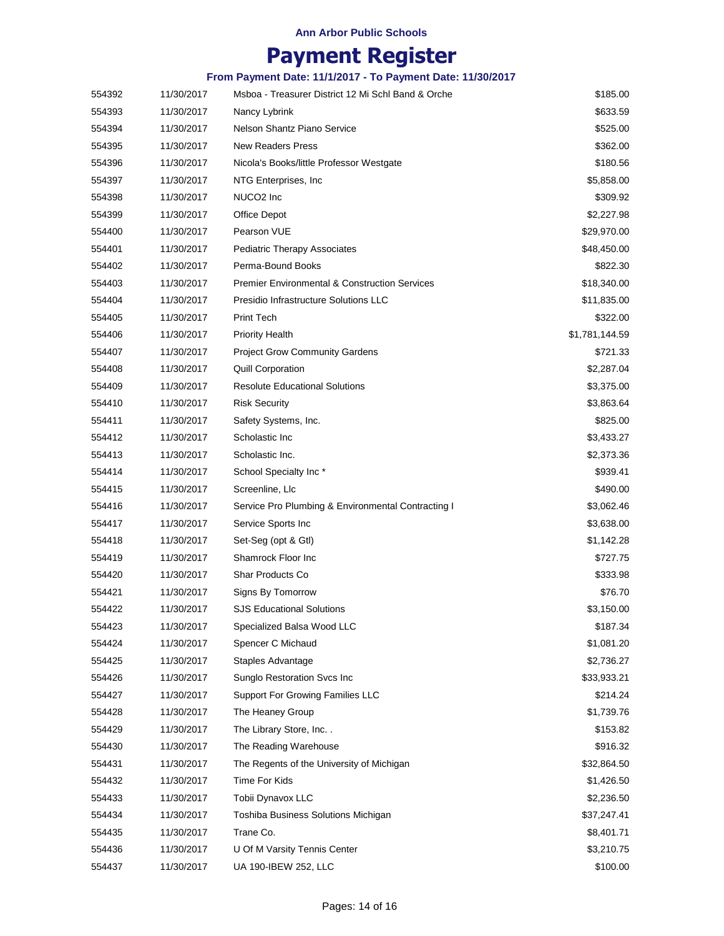## **Payment Register**

| 554392 | 11/30/2017 | Msboa - Treasurer District 12 Mi Schl Band & Orche       | \$185.00       |
|--------|------------|----------------------------------------------------------|----------------|
| 554393 | 11/30/2017 | Nancy Lybrink                                            | \$633.59       |
| 554394 | 11/30/2017 | Nelson Shantz Piano Service                              | \$525.00       |
| 554395 | 11/30/2017 | <b>New Readers Press</b>                                 | \$362.00       |
| 554396 | 11/30/2017 | Nicola's Books/little Professor Westgate                 | \$180.56       |
| 554397 | 11/30/2017 | NTG Enterprises, Inc.                                    | \$5,858.00     |
| 554398 | 11/30/2017 | NUCO <sub>2</sub> Inc                                    | \$309.92       |
| 554399 | 11/30/2017 | Office Depot                                             | \$2.227.98     |
| 554400 | 11/30/2017 | Pearson VUE                                              | \$29,970.00    |
| 554401 | 11/30/2017 | <b>Pediatric Therapy Associates</b>                      | \$48,450.00    |
| 554402 | 11/30/2017 | Perma-Bound Books                                        | \$822.30       |
| 554403 | 11/30/2017 | <b>Premier Environmental &amp; Construction Services</b> | \$18,340.00    |
| 554404 | 11/30/2017 | Presidio Infrastructure Solutions LLC                    | \$11,835.00    |
| 554405 | 11/30/2017 | Print Tech                                               | \$322.00       |
| 554406 | 11/30/2017 | <b>Priority Health</b>                                   | \$1,781,144.59 |
| 554407 | 11/30/2017 | <b>Project Grow Community Gardens</b>                    | \$721.33       |
| 554408 | 11/30/2017 | <b>Quill Corporation</b>                                 | \$2,287.04     |
| 554409 | 11/30/2017 | <b>Resolute Educational Solutions</b>                    | \$3,375.00     |
| 554410 | 11/30/2017 | <b>Risk Security</b>                                     | \$3,863.64     |
| 554411 | 11/30/2017 | Safety Systems, Inc.                                     | \$825.00       |
| 554412 | 11/30/2017 | Scholastic Inc                                           | \$3,433.27     |
| 554413 | 11/30/2017 | Scholastic Inc.                                          | \$2,373.36     |
| 554414 | 11/30/2017 | School Specialty Inc*                                    | \$939.41       |
| 554415 | 11/30/2017 | Screenline, Llc                                          | \$490.00       |
| 554416 | 11/30/2017 | Service Pro Plumbing & Environmental Contracting I       | \$3,062.46     |
| 554417 | 11/30/2017 | Service Sports Inc                                       | \$3,638.00     |
| 554418 | 11/30/2017 | Set-Seg (opt & Gtl)                                      | \$1,142.28     |
| 554419 | 11/30/2017 | Shamrock Floor Inc                                       | \$727.75       |
| 554420 | 11/30/2017 | Shar Products Co                                         | \$333.98       |
| 554421 | 11/30/2017 | Signs By Tomorrow                                        | \$76.70        |
| 554422 | 11/30/2017 | <b>SJS Educational Solutions</b>                         | \$3,150.00     |
| 554423 | 11/30/2017 | Specialized Balsa Wood LLC                               | \$187.34       |
| 554424 | 11/30/2017 | Spencer C Michaud                                        | \$1,081.20     |
| 554425 | 11/30/2017 | Staples Advantage                                        | \$2,736.27     |
| 554426 | 11/30/2017 | Sunglo Restoration Svcs Inc                              | \$33,933.21    |
| 554427 | 11/30/2017 | Support For Growing Families LLC                         | \$214.24       |
| 554428 | 11/30/2017 | The Heaney Group                                         | \$1,739.76     |
| 554429 | 11/30/2017 | The Library Store, Inc                                   | \$153.82       |
| 554430 | 11/30/2017 | The Reading Warehouse                                    | \$916.32       |
| 554431 | 11/30/2017 | The Regents of the University of Michigan                | \$32,864.50    |
| 554432 | 11/30/2017 | Time For Kids                                            | \$1,426.50     |
| 554433 | 11/30/2017 | Tobii Dynavox LLC                                        | \$2,236.50     |
| 554434 | 11/30/2017 | Toshiba Business Solutions Michigan                      | \$37,247.41    |
| 554435 | 11/30/2017 | Trane Co.                                                | \$8,401.71     |
| 554436 | 11/30/2017 | U Of M Varsity Tennis Center                             | \$3,210.75     |
| 554437 | 11/30/2017 | UA 190-IBEW 252, LLC                                     | \$100.00       |
|        |            |                                                          |                |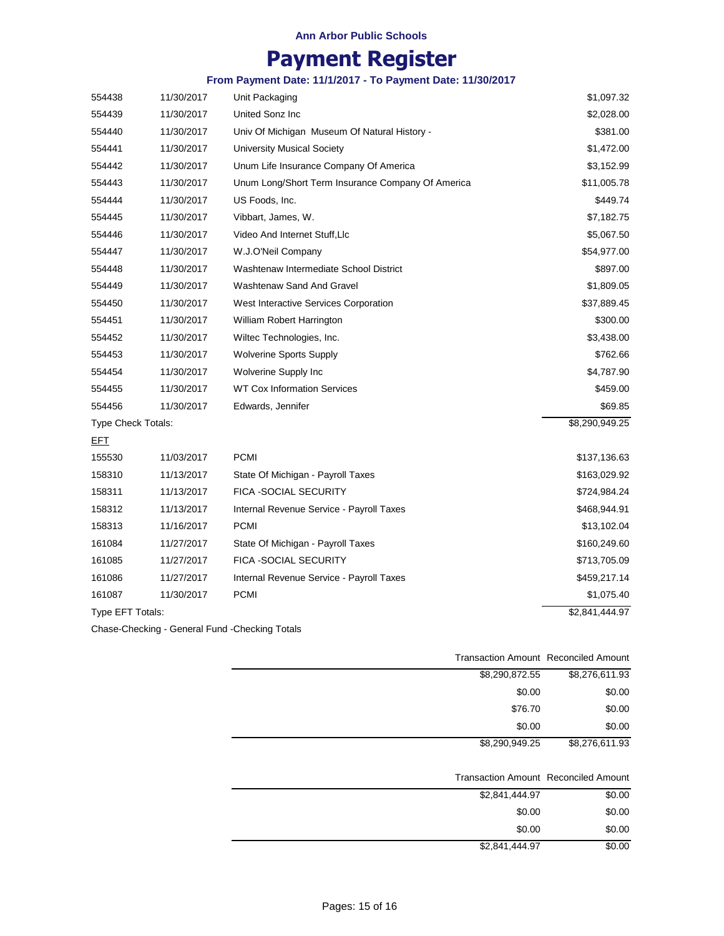# **Payment Register**

## **From Payment Date: 11/1/2017 - To Payment Date: 11/30/2017**

| 554438             | 11/30/2017 | Unit Packaging                                    | \$1,097.32                 |
|--------------------|------------|---------------------------------------------------|----------------------------|
| 554439             | 11/30/2017 | United Sonz Inc                                   | \$2,028.00                 |
| 554440             | 11/30/2017 | Univ Of Michigan Museum Of Natural History -      | \$381.00                   |
| 554441             | 11/30/2017 | <b>University Musical Society</b>                 | \$1,472.00                 |
| 554442             | 11/30/2017 | Unum Life Insurance Company Of America            | \$3,152.99                 |
| 554443             | 11/30/2017 | Unum Long/Short Term Insurance Company Of America | \$11,005.78                |
| 554444             | 11/30/2017 | US Foods, Inc.                                    | \$449.74                   |
| 554445             | 11/30/2017 | Vibbart, James, W.                                | \$7,182.75                 |
| 554446             | 11/30/2017 | Video And Internet Stuff, Llc                     | \$5,067.50                 |
| 554447             | 11/30/2017 | W.J.O'Neil Company                                | \$54,977.00                |
| 554448             | 11/30/2017 | Washtenaw Intermediate School District            | \$897.00                   |
| 554449             | 11/30/2017 | <b>Washtenaw Sand And Gravel</b>                  | \$1,809.05                 |
| 554450             | 11/30/2017 | West Interactive Services Corporation             | \$37,889.45                |
| 554451             | 11/30/2017 | William Robert Harrington                         | \$300.00                   |
| 554452             | 11/30/2017 | Wiltec Technologies, Inc.                         | \$3,438.00                 |
| 554453             | 11/30/2017 | <b>Wolverine Sports Supply</b>                    | \$762.66                   |
| 554454             | 11/30/2017 | Wolverine Supply Inc                              | \$4,787.90                 |
| 554455             | 11/30/2017 | <b>WT Cox Information Services</b>                | \$459.00                   |
| 554456             | 11/30/2017 | Edwards, Jennifer                                 | \$69.85                    |
| Type Check Totals: |            |                                                   | \$8,290,949.25             |
| <b>EFT</b>         |            |                                                   |                            |
| 155530             | 11/03/2017 | <b>PCMI</b>                                       | \$137,136.63               |
| 158310             | 11/13/2017 | State Of Michigan - Payroll Taxes                 | \$163,029.92               |
| 158311             | 11/13/2017 | <b>FICA - SOCIAL SECURITY</b>                     | \$724,984.24               |
| 158312             | 11/13/2017 | Internal Revenue Service - Payroll Taxes          | \$468,944.91               |
| 158313             | 11/16/2017 | <b>PCMI</b>                                       | \$13,102.04                |
| 161084             | 11/27/2017 | State Of Michigan - Payroll Taxes                 | \$160,249.60               |
| 161085             | 11/27/2017 | FICA -SOCIAL SECURITY                             | \$713,705.09               |
| 161086             | 11/27/2017 | Internal Revenue Service - Payroll Taxes          | \$459,217.14               |
| 161087             | 11/30/2017 | <b>PCMI</b>                                       | \$1,075.40                 |
| Type EFT Totals:   |            |                                                   | $\overline{$2,841,444.97}$ |

Chase-Checking - General Fund -Checking Totals

|                | <b>Transaction Amount Reconciled Amount</b> |
|----------------|---------------------------------------------|
| \$8,290,872.55 | \$8,276,611.93                              |
| \$0.00         | \$0.00                                      |
| \$76.70        | \$0.00                                      |
| \$0.00         | \$0.00                                      |
| \$8,290,949.25 | \$8,276,611.93                              |
|                |                                             |
|                | <b>Transaction Amount Reconciled Amount</b> |
| \$2,841,444.97 | \$0.00                                      |
| \$0.00         | \$0.00                                      |
| \$0.00         | \$0.00                                      |

\$2,841,444.97

\$0.00